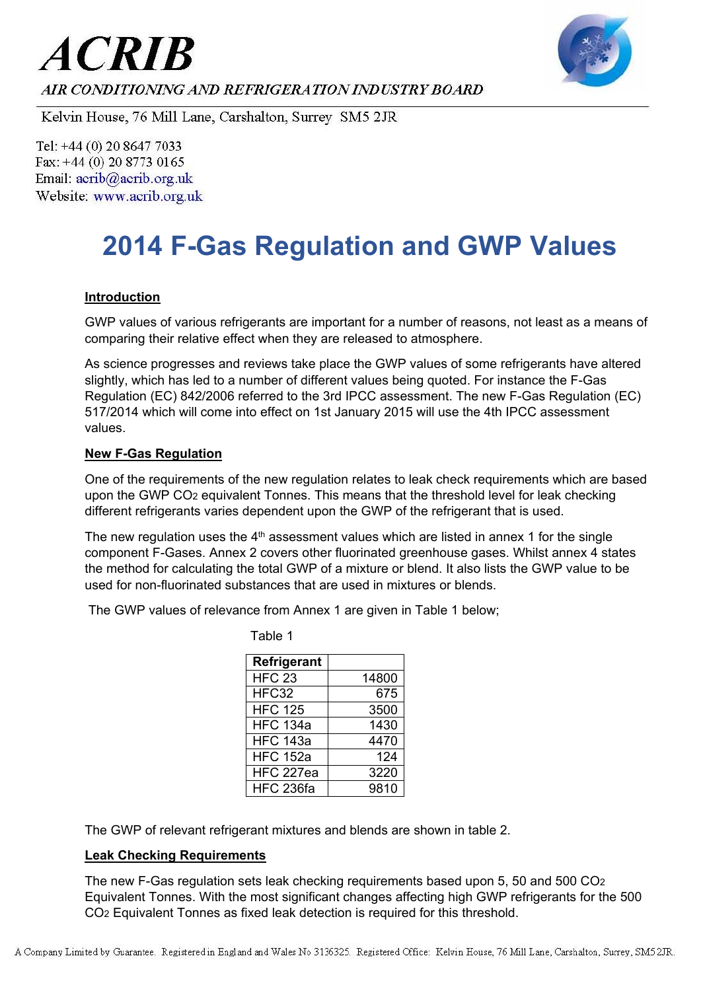



AIR CONDITIONING AND REFRIGERATION INDUSTRY BOARD

Kelvin House, 76 Mill Lane, Carshalton, Surrey SM5 2JR

Tel: +44 (0) 20 8647 7033 Fax: +44 (0) 20 8773 0165 Email: acrib@acrib.org.uk Website: www.acrib.org.uk

# **2014 F-Gas Regulation and GWP Values**

### **Introduction**

GWP values of various refrigerants are important for a number of reasons, not least as a means of comparing their relative effect when they are released to atmosphere.

As science progresses and reviews take place the GWP values of some refrigerants have altered slightly, which has led to a number of different values being quoted. For instance the F-Gas Regulation (EC) 842/2006 referred to the 3rd IPCC assessment. The new F-Gas Regulation (EC) 517/2014 which will come into effect on 1st January 2015 will use the 4th IPCC assessment values.

#### **New F-Gas Regulation**

One of the requirements of the new regulation relates to leak check requirements which are based upon the GWP CO2 equivalent Tonnes. This means that the threshold level for leak checking different refrigerants varies dependent upon the GWP of the refrigerant that is used.

The new regulation uses the  $4<sup>th</sup>$  assessment values which are listed in annex 1 for the single component F-Gases. Annex 2 covers other fluorinated greenhouse gases. Whilst annex 4 states the method for calculating the total GWP of a mixture or blend. It also lists the GWP value to be used for non-fluorinated substances that are used in mixtures or blends.

The GWP values of relevance from Annex 1 are given in Table 1 below;

Table 1

| Refrigerant      |       |
|------------------|-------|
| <b>HFC 23</b>    | 14800 |
| HFC32            | 675   |
| <b>HFC 125</b>   | 3500  |
| <b>HFC 134a</b>  | 1430  |
| <b>HFC 143a</b>  | 4470  |
| <b>HFC 152a</b>  | 124   |
| <b>HFC 227ea</b> | 3220  |
| <b>HFC 236fa</b> | 9810  |

The GWP of relevant refrigerant mixtures and blends are shown in table 2.

#### **Leak Checking Requirements**

The new F-Gas regulation sets leak checking requirements based upon 5, 50 and 500 CO2 Equivalent Tonnes. With the most significant changes affecting high GWP refrigerants for the 500 CO2 Equivalent Tonnes as fixed leak detection is required for this threshold.